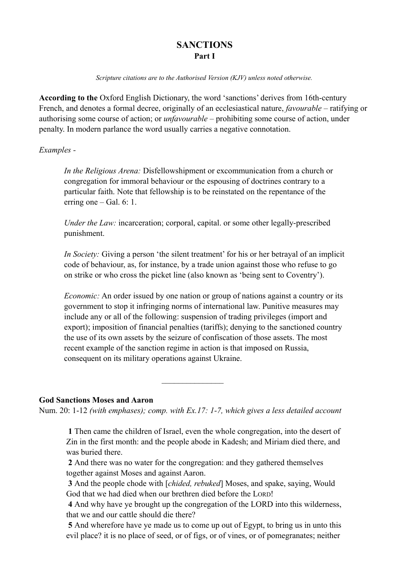# **SANCTIONS Part I**

*Scripture citations are to the Authorised Version (KJV) unless noted otherwise.*

**According to the** Oxford English Dictionary, the word 'sanctions' derives from 16th-century French, and denotes a formal decree, originally of an ecclesiastical nature, *favourable* – ratifying or authorising some course of action; or *unfavourable* – prohibiting some course of action, under penalty. In modern parlance the word usually carries a negative connotation.

### *Examples -*

*In the Religious Arena:* Disfellowshipment or excommunication from a church or congregation for immoral behaviour or the espousing of doctrines contrary to a particular faith. Note that fellowship is to be reinstated on the repentance of the erring one – Gal. 6: 1.

*Under the Law:* incarceration; corporal, capital. or some other legally-prescribed punishment.

*In Society:* Giving a person 'the silent treatment' for his or her betrayal of an implicit code of behaviour, as, for instance, by a trade union against those who refuse to go on strike or who cross the picket line (also known as 'being sent to Coventry').

*Economic:* An order issued by one nation or group of nations against a country or its government to stop it infringing norms of international law. Punitive measures may include any or all of the following: suspension of trading privileges (import and export); imposition of financial penalties (tariffs); denying to the sanctioned country the use of its own assets by the seizure of confiscation of those assets. The most recent example of the sanction regime in action is that imposed on Russia, consequent on its military operations against Ukraine.

#### **God Sanctions Moses and Aaron**

Num. 20: 1-12 *(with emphases); comp. with Ex.17: 1-7, which gives a less detailed account*

 **1** Then came the children of Israel, even the whole congregation, into the desert of Zin in the first month: and the people abode in Kadesh; and Miriam died there, and was buried there.

 **2** And there was no water for the congregation: and they gathered themselves together against Moses and against Aaron.

 **3** And the people chode with [*chided, rebuked*] Moses, and spake, saying, Would God that we had died when our brethren died before the LORD!

 **4** And why have ye brought up the congregation of the LORD into this wilderness, that we and our cattle should die there?

 **5** And wherefore have ye made us to come up out of Egypt, to bring us in unto this evil place? it is no place of seed, or of figs, or of vines, or of pomegranates; neither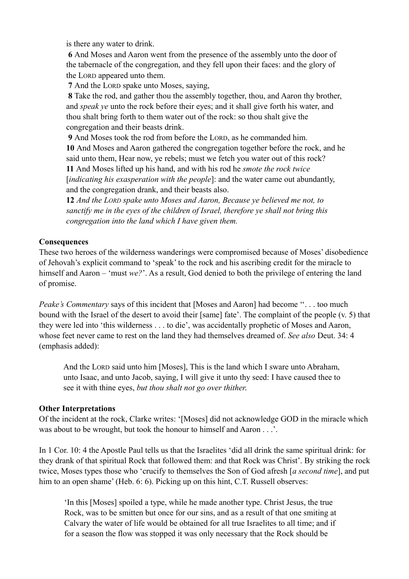is there any water to drink.

 **6** And Moses and Aaron went from the presence of the assembly unto the door of the tabernacle of the congregation, and they fell upon their faces: and the glory of the LORD appeared unto them.

 **7** And the LORD spake unto Moses, saying,

 **8** Take the rod, and gather thou the assembly together, thou, and Aaron thy brother, and *speak ye* unto the rock before their eyes; and it shall give forth his water, and thou shalt bring forth to them water out of the rock: so thou shalt give the congregation and their beasts drink.

 **9** And Moses took the rod from before the LORD, as he commanded him.

**10** And Moses and Aaron gathered the congregation together before the rock, and he said unto them, Hear now, ye rebels; must we fetch you water out of this rock?

**11** And Moses lifted up his hand, and with his rod he *smote the rock twice*  [*indicating his exasperation with the people*]: and the water came out abundantly, and the congregation drank, and their beasts also.

**12** *And the LORD spake unto Moses and Aaron, Because ye believed me not, to sanctify me in the eyes of the children of Israel, therefore ye shall not bring this congregation into the land which I have given them.*

## **Consequences**

These two heroes of the wilderness wanderings were compromised because of Moses' disobedience of Jehovah's explicit command to 'speak' to the rock and his ascribing credit for the miracle to himself and Aaron – 'must *we?*'. As a result, God denied to both the privilege of entering the land of promise.

*Peake's Commentary* says of this incident that [Moses and Aaron] had become "... too much bound with the Israel of the desert to avoid their [same] fate'. The complaint of the people (v. 5) that they were led into 'this wilderness . . . to die', was accidentally prophetic of Moses and Aaron, whose feet never came to rest on the land they had themselves dreamed of. *See also* Deut. 34: 4 (emphasis added):

And the LORD said unto him [Moses], This is the land which I sware unto Abraham, unto Isaac, and unto Jacob, saying, I will give it unto thy seed: I have caused thee to see it with thine eyes, *but thou shalt not go over thither*.

### **Other Interpretations**

Of the incident at the rock, Clarke writes: '[Moses] did not acknowledge GOD in the miracle which was about to be wrought, but took the honour to himself and Aaron . . .'.

In 1 Cor. 10: 4 the Apostle Paul tells us that the Israelites 'did all drink the same spiritual drink: for they drank of that spiritual Rock that followed them: and that Rock was Christ'. By striking the rock twice, Moses types those who 'crucify to themselves the Son of God afresh [*a second time*], and put him to an open shame' (Heb. 6: 6). Picking up on this hint, C.T. Russell observes:

'In this [Moses] spoiled a type, while he made another type. Christ Jesus, the true Rock, was to be smitten but once for our sins, and as a result of that one smiting at Calvary the water of life would be obtained for all true Israelites to all time; and if for a season the flow was stopped it was only necessary that the Rock should be